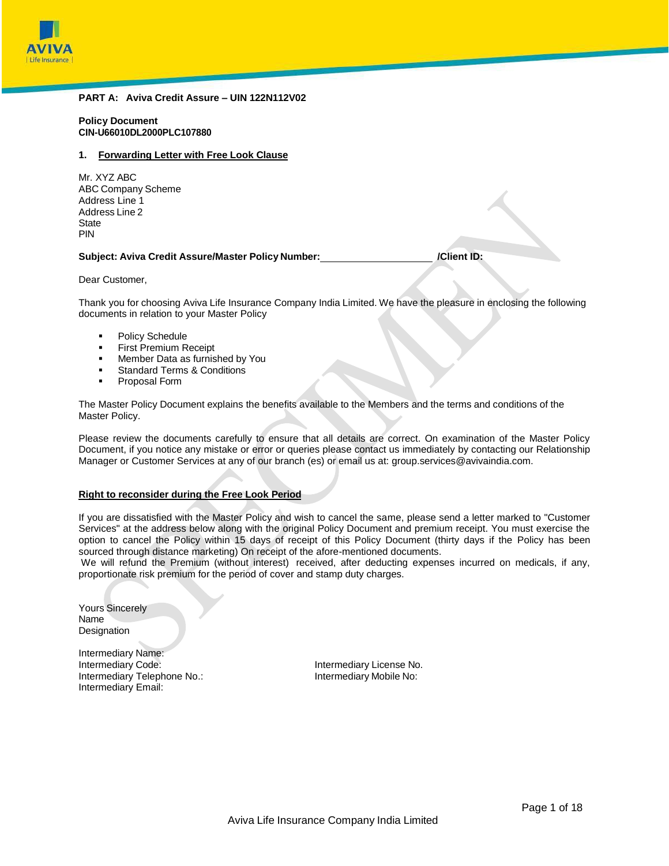

### **PART A: Aviva Credit Assure – UIN 122N112V02**

**Policy Document CIN-U66010DL2000PLC107880**

#### **1. Forwarding Letter with Free Look Clause**

| Mr. XYZ ABC        |
|--------------------|
| ABC Company Scheme |
| Address Line 1     |
| Address Line 2     |
| State              |
| PIN                |

**Subject: Aviva Credit Assure/Master Policy Number: /Client ID:**

Dear Customer,

Thank you for choosing Aviva Life Insurance Company India Limited. We have the pleasure in enclosing the following documents in relation to your Master Policy

- Policy Schedule
- First Premium Receipt
- **Member Data as furnished by You**
- **Standard Terms & Conditions**
- **Proposal Form**

The Master Policy Document explains the benefits available to the Members and the terms and conditions of the Master Policy.

Please review the documents carefully to ensure that all details are correct. On examination of the Master Policy Document, if you notice any mistake or error or queries please contact us immediately by contacting our Relationship Manager or Customer Services at any of our branch (es) or email us at[: group.services@avivaindia.com.](mailto:group.services@avivaindia.com)

#### **Right to reconsider during the Free Look Period**

If you are dissatisfied with the Master Policy and wish to cancel the same, please send a letter marked to "Customer Services" at the address below along with the original Policy Document and premium receipt. You must exercise the option to cancel the Policy within 15 days of receipt of this Policy Document (thirty days if the Policy has been sourced through distance marketing) On receipt of the afore-mentioned documents.

We will refund the Premium (without interest) received, after deducting expenses incurred on medicals, if any, proportionate risk premium for the period of cover and stamp duty charges.

Yours Sincerely Name **Designation** 

Intermediary Name: Intermediary Code: **Intermediary Code:** Intermediary License No. Intermediary Telephone No.: Intermediary Mobile No: Intermediary Email: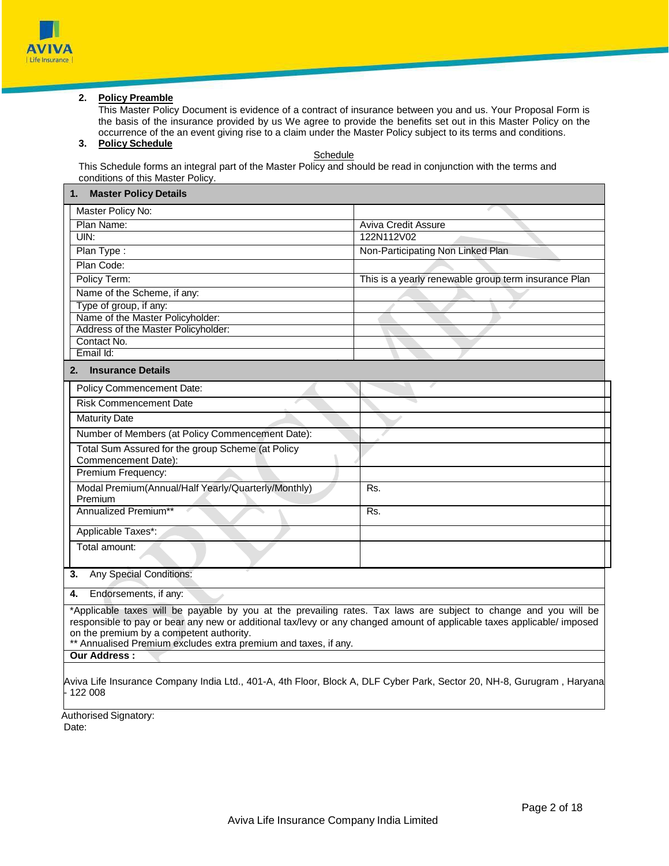

## **2. Policy Preamble**

This Master Policy Document is evidence of a contract of insurance between you and us. Your Proposal Form is the basis of the insurance provided by us We agree to provide the benefits set out in this Master Policy on the occurrence of the an event giving rise to a claim under the Master Policy subject to its terms and conditions.

# **3. Policy Schedule**

**Schedule** 

This Schedule forms an integral part of the Master Policy and should be read in conjunction with the terms and conditions of this Master Policy.

| <b>Master Policy Details</b><br>1.                                                                                      |                                                      |  |  |  |  |
|-------------------------------------------------------------------------------------------------------------------------|------------------------------------------------------|--|--|--|--|
| Master Policy No:                                                                                                       |                                                      |  |  |  |  |
| Plan Name:                                                                                                              | <b>Aviva Credit Assure</b>                           |  |  |  |  |
| UIN:                                                                                                                    | 122N112V02                                           |  |  |  |  |
| Plan Type:                                                                                                              | Non-Participating Non Linked Plan                    |  |  |  |  |
| Plan Code:                                                                                                              |                                                      |  |  |  |  |
| Policy Term:                                                                                                            | This is a yearly renewable group term insurance Plan |  |  |  |  |
| Name of the Scheme, if any:                                                                                             |                                                      |  |  |  |  |
| Type of group, if any:                                                                                                  |                                                      |  |  |  |  |
| Name of the Master Policyholder:                                                                                        |                                                      |  |  |  |  |
| Address of the Master Policyholder:                                                                                     |                                                      |  |  |  |  |
| Contact No.                                                                                                             |                                                      |  |  |  |  |
| Email Id:                                                                                                               |                                                      |  |  |  |  |
| <b>Insurance Details</b><br>2.                                                                                          |                                                      |  |  |  |  |
| Policy Commencement Date:                                                                                               |                                                      |  |  |  |  |
| <b>Risk Commencement Date</b>                                                                                           |                                                      |  |  |  |  |
| <b>Maturity Date</b>                                                                                                    |                                                      |  |  |  |  |
| Number of Members (at Policy Commencement Date):                                                                        |                                                      |  |  |  |  |
| Total Sum Assured for the group Scheme (at Policy                                                                       |                                                      |  |  |  |  |
| Commencement Date):                                                                                                     |                                                      |  |  |  |  |
| Premium Frequency:                                                                                                      |                                                      |  |  |  |  |
| Modal Premium(Annual/Half Yearly/Quarterly/Monthly)                                                                     | Rs.                                                  |  |  |  |  |
| Premium                                                                                                                 |                                                      |  |  |  |  |
| Annualized Premium**                                                                                                    | Rs.                                                  |  |  |  |  |
| Applicable Taxes*:                                                                                                      |                                                      |  |  |  |  |
| Total amount:                                                                                                           |                                                      |  |  |  |  |
|                                                                                                                         |                                                      |  |  |  |  |
| <b>Any Special Conditions:</b><br>3.                                                                                    |                                                      |  |  |  |  |
| Endorsements, if any:<br>4.                                                                                             |                                                      |  |  |  |  |
|                                                                                                                         |                                                      |  |  |  |  |
| *Applicable taxes will be payable by you at the prevailing rates. Tax laws are subject to change and you will be        |                                                      |  |  |  |  |
| responsible to pay or bear any new or additional tax/levy or any changed amount of applicable taxes applicable/ imposed |                                                      |  |  |  |  |
| on the premium by a competent authority.                                                                                |                                                      |  |  |  |  |
| ** Annualised Premium excludes extra premium and taxes, if any.                                                         |                                                      |  |  |  |  |

**Our Address :**

Aviva Life Insurance Company India Ltd., 401-A, 4th Floor, Block A, DLF Cyber Park, Sector 20, NH-8, Gurugram , Haryana - 122 008

Authorised Signatory: Date: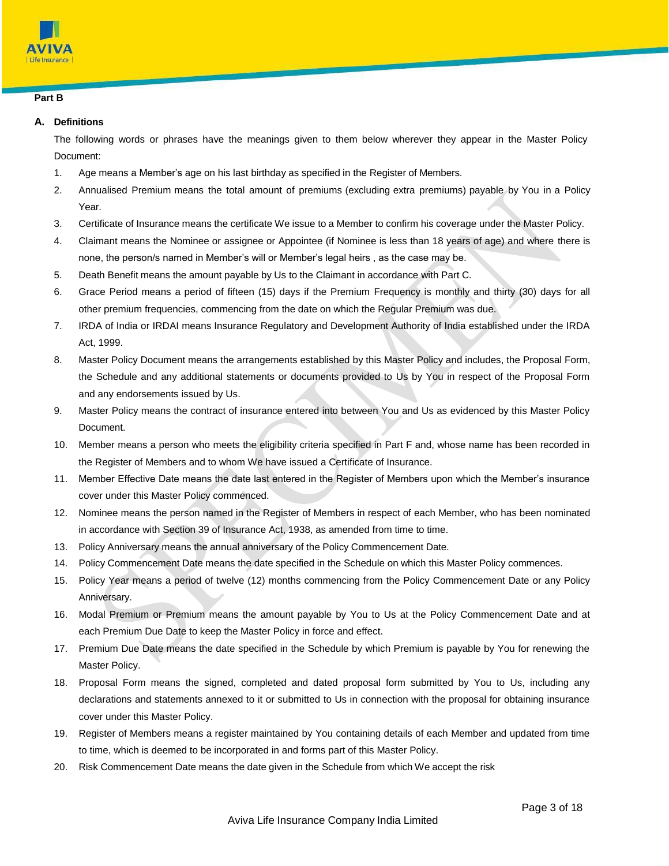

# **Part B**

# **A. Definitions**

The following words or phrases have the meanings given to them below wherever they appear in the Master Policy Document:

- 1. Age means a Member's age on his last birthday as specified in the Register of Members.
- 2. Annualised Premium means the total amount of premiums (excluding extra premiums) payable by You in a Policy Year.
- 3. Certificate of Insurance means the certificate We issue to a Member to confirm his coverage under the Master Policy.
- 4. Claimant means the Nominee or assignee or Appointee (if Nominee is less than 18 years of age) and where there is none, the person/s named in Member's will or Member's legal heirs , as the case may be.
- 5. Death Benefit means the amount payable by Us to the Claimant in accordance with Part C.
- 6. Grace Period means a period of fifteen (15) days if the Premium Frequency is monthly and thirty (30) days for all other premium frequencies, commencing from the date on which the Regular Premium was due.
- 7. IRDA of India or IRDAI means Insurance Regulatory and Development Authority of India established under the IRDA Act, 1999.
- 8. Master Policy Document means the arrangements established by this Master Policy and includes, the Proposal Form, the Schedule and any additional statements or documents provided to Us by You in respect of the Proposal Form and any endorsements issued by Us.
- 9. Master Policy means the contract of insurance entered into between You and Us as evidenced by this Master Policy Document.
- 10. Member means a person who meets the eligibility criteria specified in Part F and, whose name has been recorded in the Register of Members and to whom We have issued a Certificate of Insurance.
- 11. Member Effective Date means the date last entered in the Register of Members upon which the Member's insurance cover under this Master Policy commenced.
- 12. Nominee means the person named in the Register of Members in respect of each Member, who has been nominated in accordance with Section 39 of Insurance Act, 1938, as amended from time to time.
- 13. Policy Anniversary means the annual anniversary of the Policy Commencement Date.
- 14. Policy Commencement Date means the date specified in the Schedule on which this Master Policy commences.
- 15. Policy Year means a period of twelve (12) months commencing from the Policy Commencement Date or any Policy Anniversary.
- 16. Modal Premium or Premium means the amount payable by You to Us at the Policy Commencement Date and at each Premium Due Date to keep the Master Policy in force and effect.
- 17. Premium Due Date means the date specified in the Schedule by which Premium is payable by You for renewing the Master Policy.
- 18. Proposal Form means the signed, completed and dated proposal form submitted by You to Us, including any declarations and statements annexed to it or submitted to Us in connection with the proposal for obtaining insurance cover under this Master Policy.
- 19. Register of Members means a register maintained by You containing details of each Member and updated from time to time, which is deemed to be incorporated in and forms part of this Master Policy.
- 20. Risk Commencement Date means the date given in the Schedule from which We accept the risk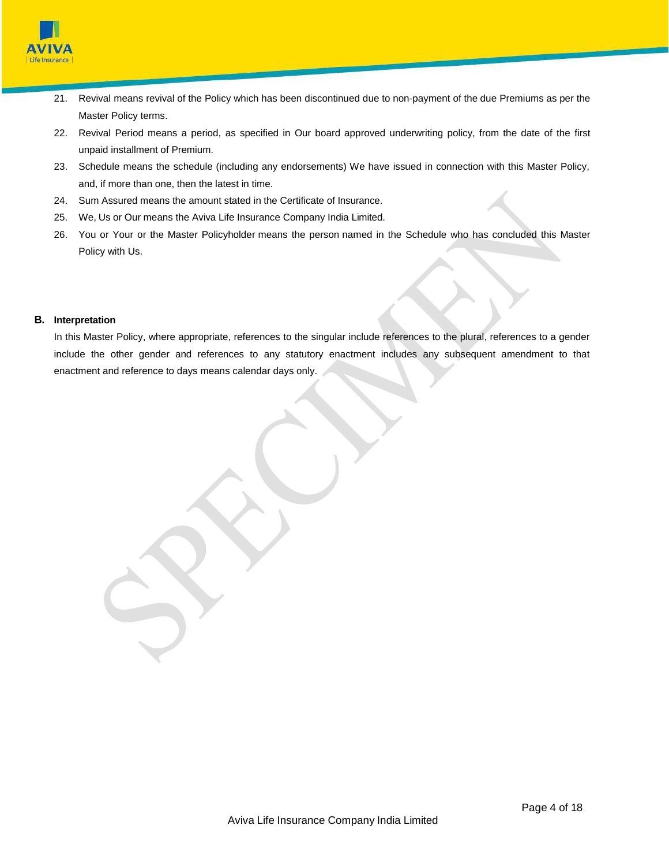

- 21. Revival means revival of the Policy which has been discontinued due to non-payment of the due Premiums as per the Master Policy terms.
- 22. Revival Period means a period, as specified in Our board approved underwriting policy, from the date of the first unpaid installment of Premium.
- 23. Schedule means the schedule (including any endorsements) We have issued in connection with this Master Policy, and, if more than one, then the latest in time.
- 24. Sum Assured means the amount stated in the Certificate of Insurance.
- 25. We, Us or Our means the Aviva Life Insurance Company India Limited.
- 26. You or Your or the Master Policyholder means the person named in the Schedule who has concluded this Master Policy with Us.

# **B. Interpretation**

In this Master Policy, where appropriate, references to the singular include references to the plural, references to a gender include the other gender and references to any statutory enactment includes any subsequent amendment to that enactment and reference to days means calendar days only.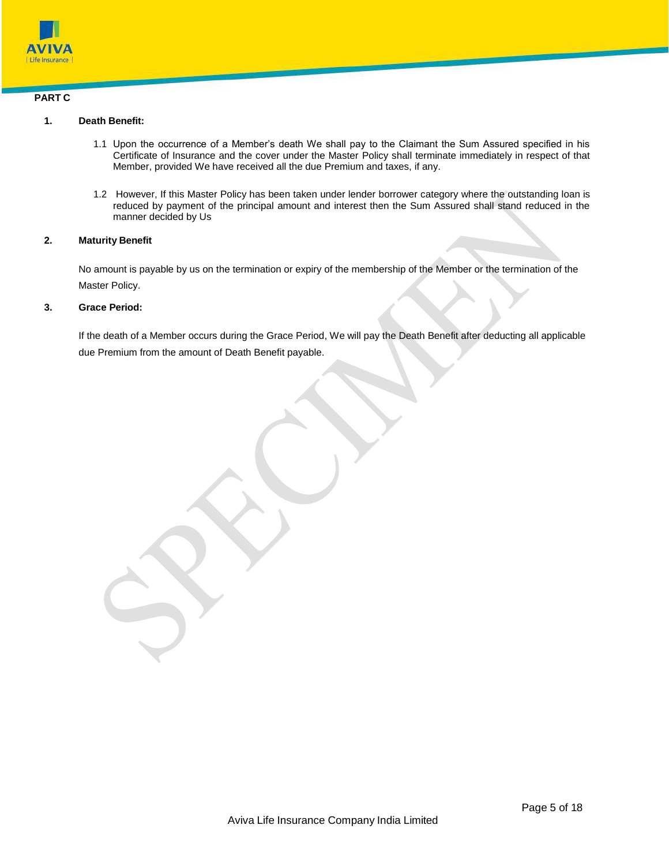

# **PART C**

# **1. Death Benefit:**

- 1.1 Upon the occurrence of a Member's death We shall pay to the Claimant the Sum Assured specified in his Certificate of Insurance and the cover under the Master Policy shall terminate immediately in respect of that Member, provided We have received all the due Premium and taxes, if any.
- 1.2 However, If this Master Policy has been taken under lender borrower category where the outstanding loan is reduced by payment of the principal amount and interest then the Sum Assured shall stand reduced in the manner decided by Us

# **2. Maturity Benefit**

No amount is payable by us on the termination or expiry of the membership of the Member or the termination of the Master Policy.

# **3. Grace Period:**

If the death of a Member occurs during the Grace Period, We will pay the Death Benefit after deducting all applicable due Premium from the amount of Death Benefit payable.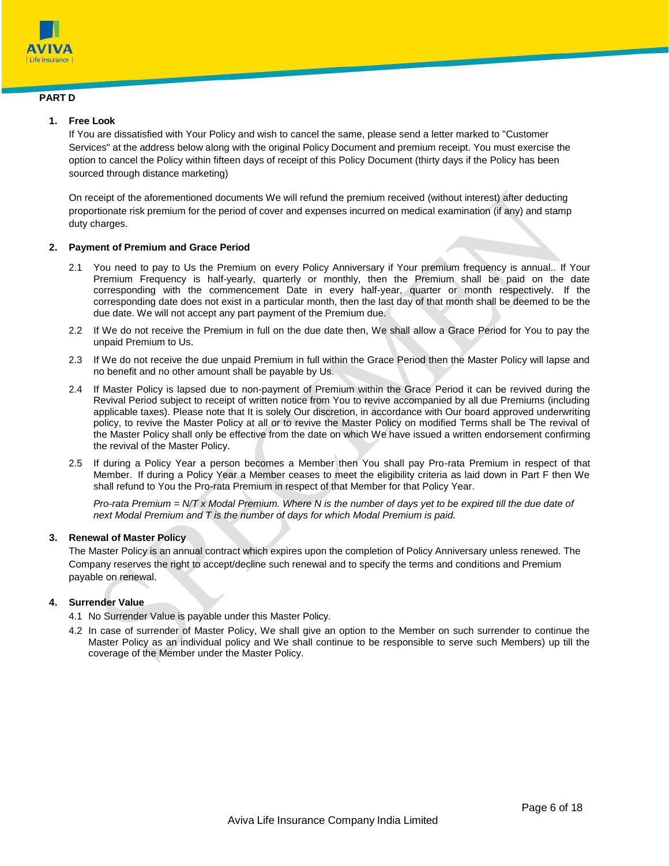

# **PART D**

# **1. Free Look**

If You are dissatisfied with Your Policy and wish to cancel the same, please send a letter marked to "Customer Services" at the address below along with the original Policy Document and premium receipt. You must exercise the option to cancel the Policy within fifteen days of receipt of this Policy Document (thirty days if the Policy has been sourced through distance marketing)

On receipt of the aforementioned documents We will refund the premium received (without interest) after deducting proportionate risk premium for the period of cover and expenses incurred on medical examination (if any) and stamp duty charges.

# **2. Payment of Premium and Grace Period**

- 2.1 You need to pay to Us the Premium on every Policy Anniversary if Your premium frequency is annual.. If Your Premium Frequency is half-yearly, quarterly or monthly, then the Premium shall be paid on the date corresponding with the commencement Date in every half-year, quarter or month respectively. If the corresponding date does not exist in a particular month, then the last day of that month shall be deemed to be the due date. We will not accept any part payment of the Premium due.
- 2.2 If We do not receive the Premium in full on the due date then, We shall allow a Grace Period for You to pay the unpaid Premium to Us.
- 2.3 If We do not receive the due unpaid Premium in full within the Grace Period then the Master Policy will lapse and no benefit and no other amount shall be payable by Us.
- 2.4 If Master Policy is lapsed due to non-payment of Premium within the Grace Period it can be revived during the Revival Period subject to receipt of written notice from You to revive accompanied by all due Premiums (including applicable taxes). Please note that It is solely Our discretion, in accordance with Our board approved underwriting policy, to revive the Master Policy at all or to revive the Master Policy on modified Terms shall be The revival of the Master Policy shall only be effective from the date on which We have issued a written endorsement confirming the revival of the Master Policy.
- 2.5 If during a Policy Year a person becomes a Member then You shall pay Pro-rata Premium in respect of that Member. If during a Policy Year a Member ceases to meet the eligibility criteria as laid down in Part F then We shall refund to You the Pro-rata Premium in respect of that Member for that Policy Year.

*Pro-rata Premium = N/T x Modal Premium. Where N is the number of days yet to be expired till the due date of next Modal Premium and T is the number of days for which Modal Premium is paid.*

# **3. Renewal of Master Policy**

The Master Policy is an annual contract which expires upon the completion of Policy Anniversary unless renewed. The Company reserves the right to accept/decline such renewal and to specify the terms and conditions and Premium payable on renewal.

# **4. Surrender Value**

- 4.1 No Surrender Value is payable under this Master Policy.
- 4.2 In case of surrender of Master Policy, We shall give an option to the Member on such surrender to continue the Master Policy as an individual policy and We shall continue to be responsible to serve such Members) up till the coverage of the Member under the Master Policy.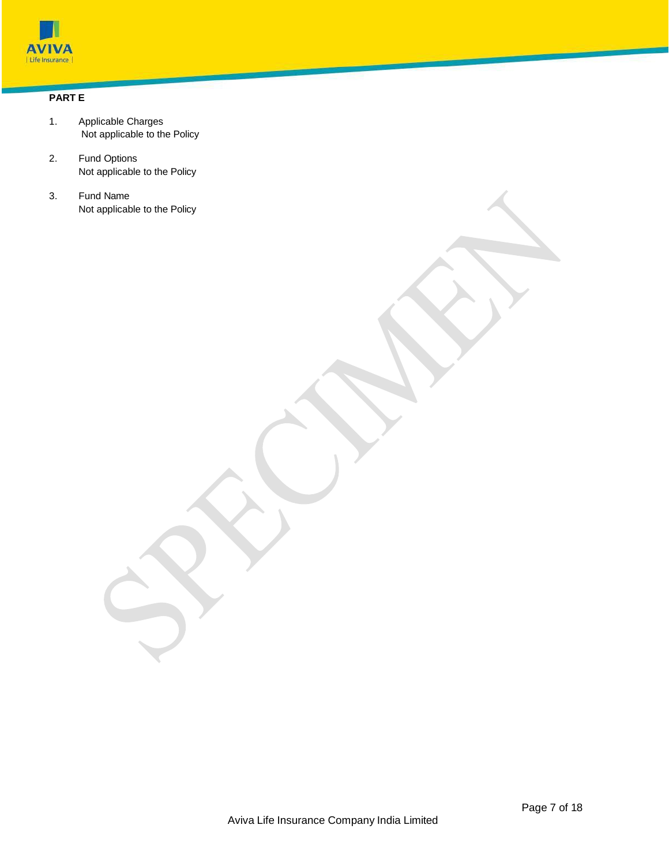

# **PART E**

- 1. Applicable Charges Not applicable to the Policy
- 2. Fund Options Not applicable to the Policy
- 3. Fund Name Not applicable to the Policy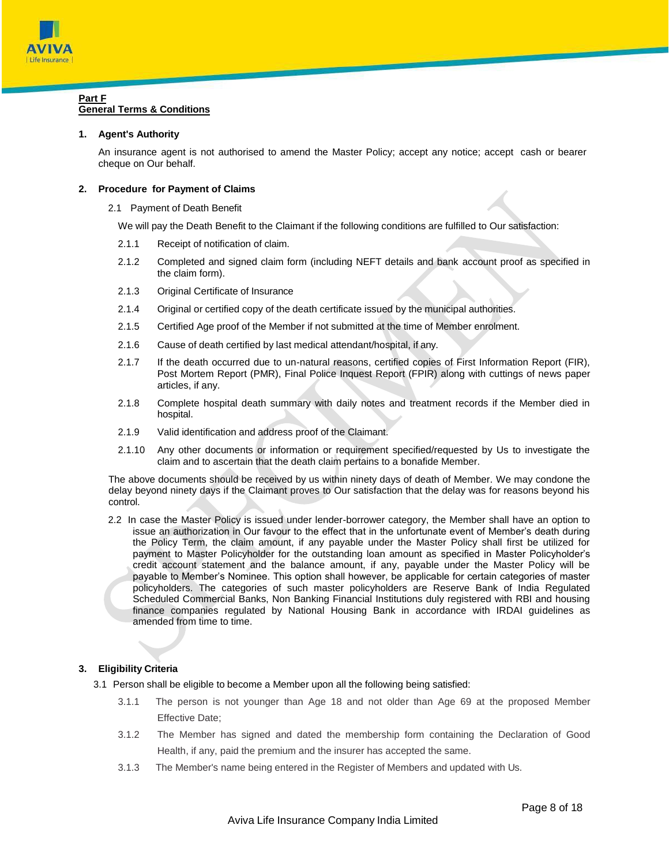

## **Part F General Terms & Conditions**

## **1. Agent's Authority**

An insurance agent is not authorised to amend the Master Policy; accept any notice; accept cash or bearer cheque on Our behalf.

#### **2. Procedure for Payment of Claims**

2.1 Payment of Death Benefit

We will pay the Death Benefit to the Claimant if the following conditions are fulfilled to Our satisfaction:

- 2.1.1 Receipt of notification of claim.
- 2.1.2 Completed and signed claim form (including NEFT details and bank account proof as specified in the claim form).
- 2.1.3 Original Certificate of Insurance
- 2.1.4 Original or certified copy of the death certificate issued by the municipal authorities.
- 2.1.5 Certified Age proof of the Member if not submitted at the time of Member enrolment.
- 2.1.6 Cause of death certified by last medical attendant/hospital, if any.
- 2.1.7 If the death occurred due to un-natural reasons, certified copies of First Information Report (FIR), Post Mortem Report (PMR), Final Police Inquest Report (FPIR) along with cuttings of news paper articles, if any.
- 2.1.8 Complete hospital death summary with daily notes and treatment records if the Member died in hospital.
- 2.1.9 Valid identification and address proof of the Claimant.
- 2.1.10 Any other documents or information or requirement specified/requested by Us to investigate the claim and to ascertain that the death claim pertains to a bonafide Member.

The above documents should be received by us within ninety days of death of Member. We may condone the delay beyond ninety days if the Claimant proves to Our satisfaction that the delay was for reasons beyond his control.

2.2 In case the Master Policy is issued under lender-borrower category, the Member shall have an option to issue an authorization in Our favour to the effect that in the unfortunate event of Member's death during the Policy Term, the claim amount, if any payable under the Master Policy shall first be utilized for payment to Master Policyholder for the outstanding loan amount as specified in Master Policyholder's credit account statement and the balance amount, if any, payable under the Master Policy will be payable to Member's Nominee. This option shall however, be applicable for certain categories of master policyholders. The categories of such master policyholders are Reserve Bank of India Regulated Scheduled Commercial Banks, Non Banking Financial Institutions duly registered with RBI and housing finance companies regulated by National Housing Bank in accordance with IRDAI guidelines as amended from time to time.

# **3. Eligibility Criteria**

3.1 Person shall be eligible to become a Member upon all the following being satisfied:

- 3.1.1 The person is not younger than Age 18 and not older than Age 69 at the proposed Member Effective Date;
- 3.1.2 The Member has signed and dated the membership form containing the Declaration of Good Health, if any, paid the premium and the insurer has accepted the same.
- 3.1.3 The Member's name being entered in the Register of Members and updated with Us.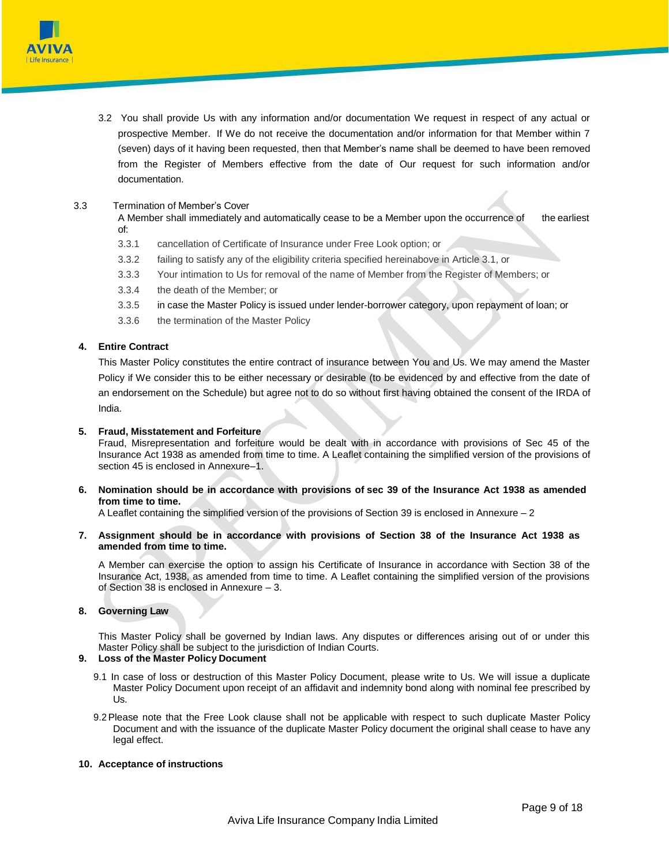

3.2 You shall provide Us with any information and/or documentation We request in respect of any actual or prospective Member. If We do not receive the documentation and/or information for that Member within 7 (seven) days of it having been requested, then that Member's name shall be deemed to have been removed from the Register of Members effective from the date of Our request for such information and/or documentation.

## 3.3 Termination of Member's Cover

A Member shall immediately and automatically cease to be a Member upon the occurrence of the earliest of:

- 3.3.1 cancellation of Certificate of Insurance under Free Look option; or
- 3.3.2 failing to satisfy any of the eligibility criteria specified hereinabove in Article 3.1, or
- 3.3.3 Your intimation to Us for removal of the name of Member from the Register of Members; or
- 3.3.4 the death of the Member; or
- 3.3.5 in case the Master Policy is issued under lender-borrower category, upon repayment of loan; or
- 3.3.6 the termination of the Master Policy

#### **4. Entire Contract**

This Master Policy constitutes the entire contract of insurance between You and Us. We may amend the Master Policy if We consider this to be either necessary or desirable (to be evidenced by and effective from the date of an endorsement on the Schedule) but agree not to do so without first having obtained the consent of the IRDA of India.

#### **5. Fraud, Misstatement and Forfeiture**

Fraud, Misrepresentation and forfeiture would be dealt with in accordance with provisions of Sec 45 of the Insurance Act 1938 as amended from time to time. A Leaflet containing the simplified version of the provisions of section 45 is enclosed in Annexure–1.

#### **6. Nomination should be in accordance with provisions of sec 39 of the Insurance Act 1938 as amended from time to time.**

A Leaflet containing the simplified version of the provisions of Section 39 is enclosed in Annexure – 2

**7. Assignment should be in accordance with provisions of Section 38 of the Insurance Act 1938 as amended from time to time.**

A Member can exercise the option to assign his Certificate of Insurance in accordance with Section 38 of the Insurance Act, 1938, as amended from time to time. A Leaflet containing the simplified version of the provisions of Section 38 is enclosed in Annexure – 3.

#### **8. Governing Law**

This Master Policy shall be governed by Indian laws. Any disputes or differences arising out of or under this Master Policy shall be subject to the jurisdiction of Indian Courts.

# **9. Loss of the Master Policy Document**

- 9.1 In case of loss or destruction of this Master Policy Document, please write to Us. We will issue a duplicate Master Policy Document upon receipt of an affidavit and indemnity bond along with nominal fee prescribed by Us.
- 9.2Please note that the Free Look clause shall not be applicable with respect to such duplicate Master Policy Document and with the issuance of the duplicate Master Policy document the original shall cease to have any legal effect.

# **10. Acceptance of instructions**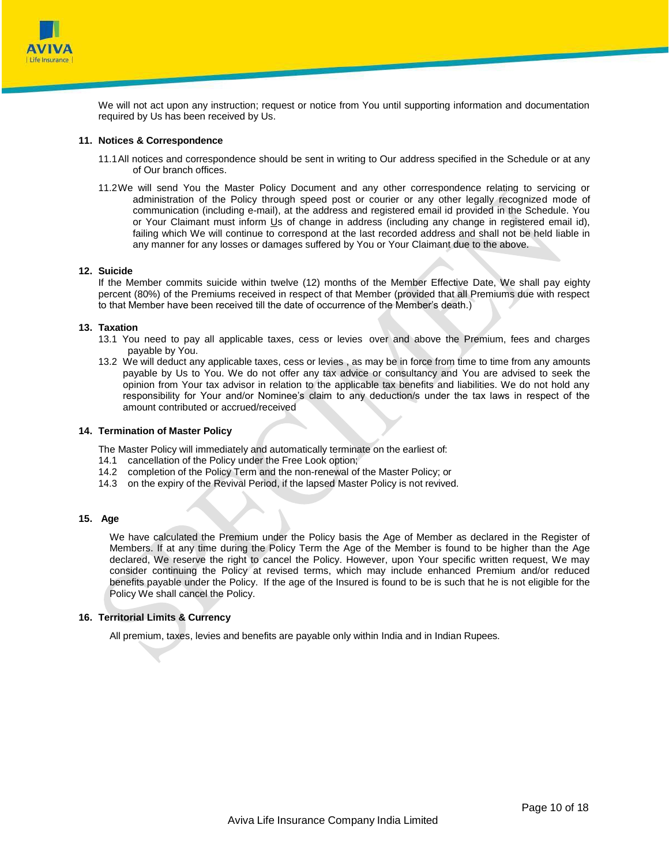

We will not act upon any instruction; request or notice from You until supporting information and documentation required by Us has been received by Us.

#### **11. Notices & Correspondence**

- 11.1All notices and correspondence should be sent in writing to Our address specified in the Schedule or at any of Our branch offices.
- 11.2We will send You the Master Policy Document and any other correspondence relating to servicing or administration of the Policy through speed post or courier or any other legally recognized mode of communication (including e-mail), at the address and registered email id provided in the Schedule. You or Your Claimant must inform Us of change in address (including any change in registered email id), failing which We will continue to correspond at the last recorded address and shall not be held liable in any manner for any losses or damages suffered by You or Your Claimant due to the above.

# **12. Suicide**

If the Member commits suicide within twelve (12) months of the Member Effective Date, We shall pay eighty percent (80%) of the Premiums received in respect of that Member (provided that all Premiums due with respect to that Member have been received till the date of occurrence of the Member's death.)

#### **13. Taxation**

- 13.1 You need to pay all applicable taxes, cess or levies over and above the Premium, fees and charges payable by You.
- 13.2 We will deduct any applicable taxes, cess or levies , as may be in force from time to time from any amounts payable by Us to You. We do not offer any tax advice or consultancy and You are advised to seek the opinion from Your tax advisor in relation to the applicable tax benefits and liabilities. We do not hold any responsibility for Your and/or Nominee's claim to any deduction/s under the tax laws in respect of the amount contributed or accrued/received

#### **14. Termination of Master Policy**

The Master Policy will immediately and automatically terminate on the earliest of:

- 14.1 cancellation of the Policy under the Free Look option;
- 14.2 completion of the Policy Term and the non-renewal of the Master Policy; or
- 14.3 on the expiry of the Revival Period, if the lapsed Master Policy is not revived.

## **15. Age**

We have calculated the Premium under the Policy basis the Age of Member as declared in the Register of Members. If at any time during the Policy Term the Age of the Member is found to be higher than the Age declared, We reserve the right to cancel the Policy. However, upon Your specific written request, We may consider continuing the Policy at revised terms, which may include enhanced Premium and/or reduced benefits payable under the Policy. If the age of the Insured is found to be is such that he is not eligible for the Policy We shall cancel the Policy.

# **16. Territorial Limits & Currency**

All premium, taxes, levies and benefits are payable only within India and in Indian Rupees.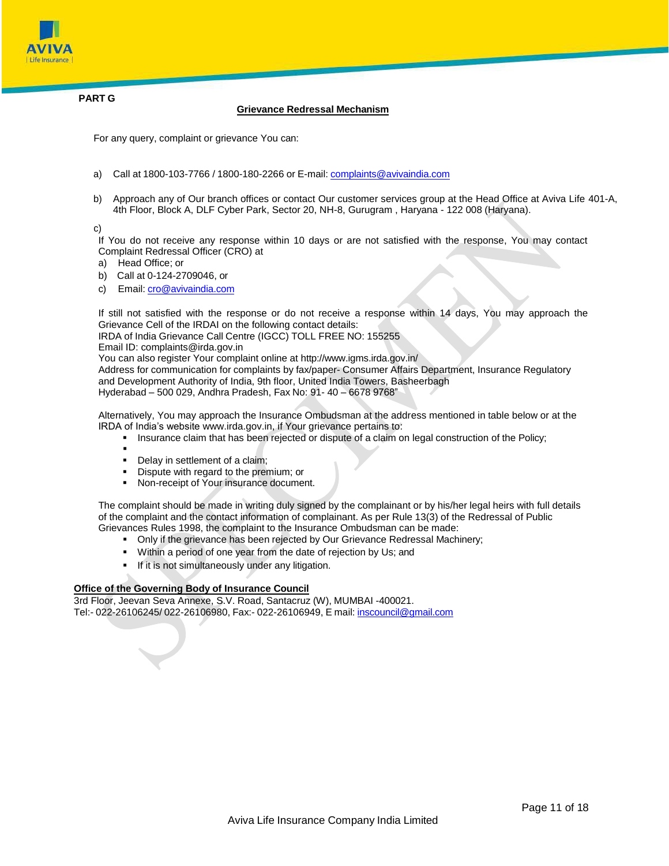

**PART G**

#### **Grievance Redressal Mechanism**

For any query, complaint or grievance You can:

- a) Call at 1800-103-7766 / 1800-180-2266 or E-mail: [complaints@avivaindia.com](mailto:complaints@avivaindia.com)
- b) Approach any of Our branch offices or contact Our customer services group at the Head Office at Aviva Life 401-A, 4th Floor, Block A, DLF Cyber Park, Sector 20, NH-8, Gurugram , Haryana - 122 008 (Haryana).

c)

If You do not receive any response within 10 days or are not satisfied with the response, You may contact Complaint Redressal Officer (CRO) at

- a) Head Office; or
- b) Call at 0-124-2709046, or
- c) Email: *[cro@avivaindia.com](mailto:cro@avivaindia.com)*

If still not satisfied with the response or do not receive a response within 14 days, You may approach the Grievance Cell of the IRDAI on the following contact details:

IRDA of India Grievance Call Centre (IGCC) TOLL FREE NO: 155255

Email ID: [complaints@irda.gov.in](mailto:complaints@irda.gov.in)

You can also register Your complaint online at <http://www.igms.irda.gov.in/>

Address for communication for complaints by fax/paper- Consumer Affairs Department, Insurance Regulatory and Development Authority of India, 9th floor, United India Towers, Basheerbagh

Hyderabad – 500 029, Andhra Pradesh, Fax No: 91- 40 – 6678 9768"

Alternatively, You may approach the Insurance Ombudsman at the address mentioned in table below or at the IRDA of India's websit[e www.irda.gov.in, i](http://www.irda.gov.in/)f Your grievance pertains to:

- **Insurance claim that has been rejected or dispute of a claim on legal construction of the Policy;**
- . • Delay in settlement of a claim;
- Dispute with regard to the premium; or
- Non-receipt of Your insurance document.

The complaint should be made in writing duly signed by the complainant or by his/her legal heirs with full details of the complaint and the contact information of complainant. As per Rule 13(3) of the Redressal of Public Grievances Rules 1998, the complaint to the Insurance Ombudsman can be made:

- Only if the grievance has been rejected by Our Grievance Redressal Machinery;
- Within a period of one year from the date of rejection by Us; and
- **If it is not simultaneously under any litigation.**

# **Office of the Governing Body of Insurance Council**

3rd Floor, Jeevan Seva Annexe, S.V. Road, Santacruz (W), MUMBAI -400021. Tel:- 022-26106245/ 022-26106980, Fax:- 022-26106949, E mail: [inscouncil@gmail.com](mailto:inscouncil@gmail.com)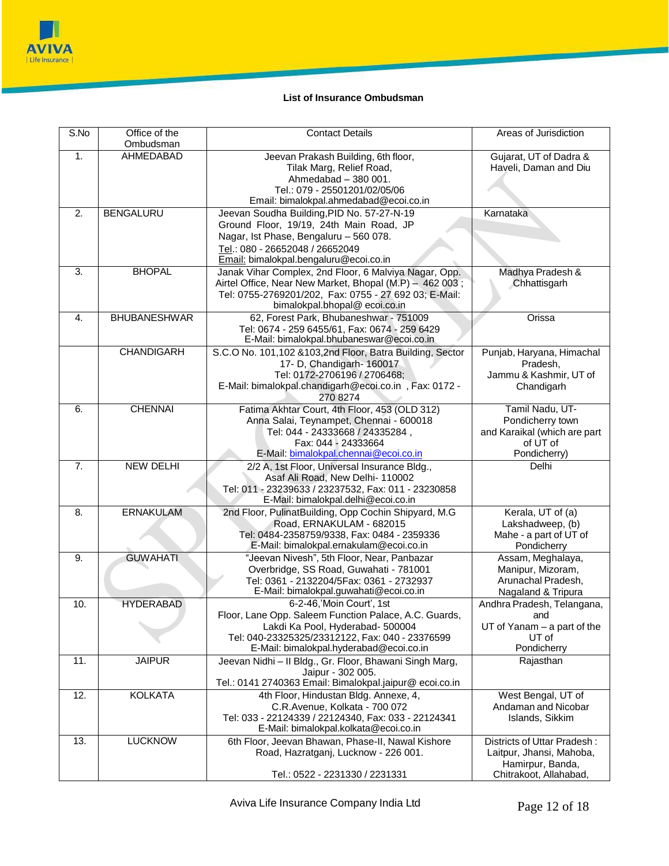

# **List of Insurance Ombudsman**

| S.No           | Office of the       | <b>Contact Details</b>                                                                     | Areas of Jurisdiction                |
|----------------|---------------------|--------------------------------------------------------------------------------------------|--------------------------------------|
|                | Ombudsman           |                                                                                            |                                      |
| 1.             | <b>AHMEDABAD</b>    | Jeevan Prakash Building, 6th floor,                                                        | Gujarat, UT of Dadra &               |
|                |                     | Tilak Marg, Relief Road,                                                                   | Haveli, Daman and Diu                |
|                |                     | Ahmedabad - 380 001.                                                                       |                                      |
|                |                     | Tel.: 079 - 25501201/02/05/06                                                              |                                      |
| 2.             |                     | Email: bimalokpal.ahmedabad@ecoi.co.in                                                     | Karnataka                            |
|                | <b>BENGALURU</b>    | Jeevan Soudha Building, PID No. 57-27-N-19<br>Ground Floor, 19/19, 24th Main Road, JP      |                                      |
|                |                     | Nagar, Ist Phase, Bengaluru - 560 078.                                                     |                                      |
|                |                     | Tel.: 080 - 26652048 / 26652049                                                            |                                      |
|                |                     | Email: bimalokpal.bengaluru@ecoi.co.in                                                     |                                      |
| 3.             | <b>BHOPAL</b>       | Janak Vihar Complex, 2nd Floor, 6 Malviya Nagar, Opp.                                      | Madhya Pradesh &                     |
|                |                     | Airtel Office, Near New Market, Bhopal (M.P) - 462 003;                                    | Chhattisgarh                         |
|                |                     | Tel: 0755-2769201/202, Fax: 0755 - 27 692 03; E-Mail:                                      |                                      |
|                |                     | bimalokpal.bhopal@ecoi.co.in                                                               |                                      |
| 4.             | <b>BHUBANESHWAR</b> | 62, Forest Park, Bhubaneshwar - 751009                                                     | Orissa                               |
|                |                     | Tel: 0674 - 259 6455/61, Fax: 0674 - 259 6429                                              |                                      |
|                |                     | E-Mail: bimalokpal.bhubaneswar@ecoi.co.in                                                  |                                      |
|                | <b>CHANDIGARH</b>   | S.C.O No. 101,102 &103,2nd Floor, Batra Building, Sector                                   | Punjab, Haryana, Himachal            |
|                |                     | 17- D, Chandigarh- 160017<br>Tel: 0172-2706196 / 2706468;                                  | Pradesh.                             |
|                |                     | E-Mail: bimalokpal.chandigarh@ecoi.co.in, Fax: 0172 -                                      | Jammu & Kashmir, UT of<br>Chandigarh |
|                |                     | 270 8274                                                                                   |                                      |
| 6.             | <b>CHENNAI</b>      | Fatima Akhtar Court, 4th Floor, 453 (OLD 312)                                              | Tamil Nadu, UT-                      |
|                |                     | Anna Salai, Teynampet, Chennai - 600018                                                    | Pondicherry town                     |
|                |                     | Tel: 044 - 24333668 / 24335284,                                                            | and Karaikal (which are part         |
|                |                     | Fax: 044 - 24333664                                                                        | of UT of                             |
|                |                     | E-Mail: bimalokpal.chennai@ecoi.co.in                                                      | Pondicherry)                         |
| 7 <sub>1</sub> | <b>NEW DELHI</b>    | 2/2 A, 1st Floor, Universal Insurance Bldg.,                                               | Delhi                                |
|                |                     | Asaf Ali Road, New Delhi- 110002                                                           |                                      |
|                |                     | Tel: 011 - 23239633 / 23237532, Fax: 011 - 23230858<br>E-Mail: bimalokpal.delhi@ecoi.co.in |                                      |
| 8.             | <b>ERNAKULAM</b>    | 2nd Floor, PulinatBuilding, Opp Cochin Shipyard, M.G                                       | Kerala, UT of (a)                    |
|                |                     | Road, ERNAKULAM - 682015                                                                   | Lakshadweep, (b)                     |
|                |                     | Tel: 0484-2358759/9338, Fax: 0484 - 2359336                                                | Mahe - a part of UT of               |
|                |                     | E-Mail: bimalokpal.ernakulam@ecoi.co.in                                                    | Pondicherry                          |
| 9.             | <b>GUWAHATI</b>     | "Jeevan Nivesh", 5th Floor, Near, Panbazar                                                 | Assam, Meghalaya,                    |
|                |                     | Overbridge, SS Road, Guwahati - 781001                                                     | Manipur, Mizoram,                    |
|                |                     | Tel: 0361 - 2132204/5Fax: 0361 - 2732937                                                   | Arunachal Pradesh,                   |
|                |                     | E-Mail: bimalokpal.guwahati@ecoi.co.in                                                     | Nagaland & Tripura                   |
| 10.            | <b>HYDERABAD</b>    | 6-2-46,'Moin Court', 1st                                                                   | Andhra Pradesh, Telangana,           |
|                |                     | Floor, Lane Opp. Saleem Function Palace, A.C. Guards,                                      | and                                  |
|                |                     | Lakdi Ka Pool, Hyderabad- 500004                                                           | $UT$ of Yanam $-$ a part of the      |
|                |                     | Tel: 040-23325325/23312122, Fax: 040 - 23376599<br>E-Mail: bimalokpal.hyderabad@ecoi.co.in | UT of<br>Pondicherry                 |
| 11.            | <b>JAIPUR</b>       | Jeevan Nidhi - Il Bldg., Gr. Floor, Bhawani Singh Marg,                                    | Rajasthan                            |
|                |                     | Jaipur - 302 005.                                                                          |                                      |
|                |                     | Tel.: 0141 2740363 Email: Bimalokpal.jaipur@ecoi.co.in                                     |                                      |
| 12.            | <b>KOLKATA</b>      | 4th Floor, Hindustan Bldg. Annexe, 4,                                                      | West Bengal, UT of                   |
|                |                     | C.R.Avenue, Kolkata - 700 072                                                              | Andaman and Nicobar                  |
|                |                     | Tel: 033 - 22124339 / 22124340, Fax: 033 - 22124341                                        | Islands, Sikkim                      |
|                |                     | E-Mail: bimalokpal.kolkata@ecoi.co.in                                                      |                                      |
| 13.            | <b>LUCKNOW</b>      | 6th Floor, Jeevan Bhawan, Phase-II, Nawal Kishore                                          | Districts of Uttar Pradesh:          |
|                |                     | Road, Hazratganj, Lucknow - 226 001.                                                       | Laitpur, Jhansi, Mahoba,             |
|                |                     |                                                                                            | Hamirpur, Banda,                     |
|                |                     | Tel.: 0522 - 2231330 / 2231331                                                             | Chitrakoot, Allahabad,               |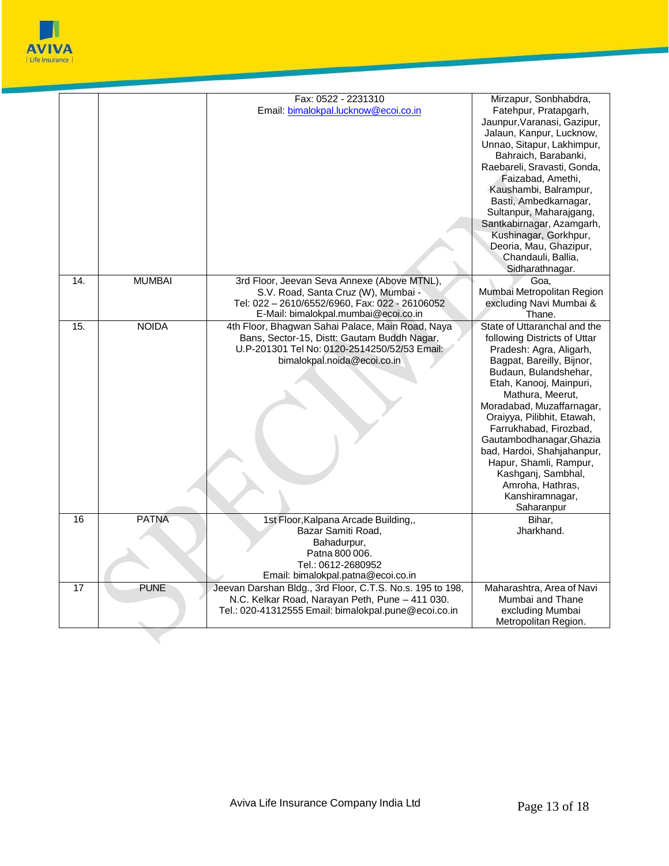

|                 |               | Fax: 0522 - 2231310                                                                    | Mirzapur, Sonbhabdra,                  |
|-----------------|---------------|----------------------------------------------------------------------------------------|----------------------------------------|
|                 |               | Email: bimalokpal.lucknow@ecoi.co.in                                                   | Fatehpur, Pratapgarh,                  |
|                 |               |                                                                                        | Jaunpur, Varanasi, Gazipur,            |
|                 |               |                                                                                        | Jalaun, Kanpur, Lucknow,               |
|                 |               |                                                                                        | Unnao, Sitapur, Lakhimpur,             |
|                 |               |                                                                                        | Bahraich, Barabanki,                   |
|                 |               |                                                                                        | Raebareli, Sravasti, Gonda,            |
|                 |               |                                                                                        | Faizabad, Amethi,                      |
|                 |               |                                                                                        | Kaushambi, Balrampur,                  |
|                 |               |                                                                                        | Basti, Ambedkarnagar,                  |
|                 |               |                                                                                        | Sultanpur, Maharajgang,                |
|                 |               |                                                                                        | Santkabirnagar, Azamgarh,              |
|                 |               |                                                                                        | Kushinagar, Gorkhpur,                  |
|                 |               |                                                                                        | Deoria, Mau, Ghazipur,                 |
|                 |               |                                                                                        | Chandauli, Ballia,                     |
|                 |               |                                                                                        | Sidharathnagar.                        |
| 14.             | <b>MUMBAI</b> | 3rd Floor, Jeevan Seva Annexe (Above MTNL),                                            | Goa,                                   |
|                 |               | S.V. Road, Santa Cruz (W), Mumbai -                                                    | Mumbai Metropolitan Region             |
|                 |               | Tel: 022 - 2610/6552/6960, Fax: 022 - 26106052<br>E-Mail: bimalokpal.mumbai@ecoi.co.in | excluding Navi Mumbai &                |
| 15.             | <b>NOIDA</b>  | 4th Floor, Bhagwan Sahai Palace, Main Road, Naya                                       | Thane.<br>State of Uttaranchal and the |
|                 |               | Bans, Sector-15, Distt: Gautam Buddh Nagar,                                            | following Districts of Uttar           |
|                 |               | U.P-201301 Tel No: 0120-2514250/52/53 Email:                                           | Pradesh: Agra, Aligarh,                |
|                 |               | bimalokpal.noida@ecoi.co.in                                                            | Bagpat, Bareilly, Bijnor,              |
|                 |               |                                                                                        | Budaun, Bulandshehar,                  |
|                 |               |                                                                                        | Etah, Kanooj, Mainpuri,                |
|                 |               |                                                                                        | Mathura, Meerut,                       |
|                 |               |                                                                                        | Moradabad, Muzaffarnagar,              |
|                 |               |                                                                                        | Oraiyya, Pilibhit, Etawah,             |
|                 |               |                                                                                        | Farrukhabad, Firozbad,                 |
|                 |               |                                                                                        | Gautambodhanagar, Ghazia               |
|                 |               |                                                                                        | bad, Hardoi, Shahjahanpur,             |
|                 |               |                                                                                        | Hapur, Shamli, Rampur,                 |
|                 |               |                                                                                        | Kashganj, Sambhal,                     |
|                 |               |                                                                                        | Amroha, Hathras,                       |
|                 |               |                                                                                        | Kanshiramnagar,                        |
| 16              | <b>PATNA</b>  |                                                                                        | Saharanpur                             |
|                 |               | 1st Floor, Kalpana Arcade Building,,<br>Bazar Samiti Road,                             | Bihar,<br>Jharkhand.                   |
|                 |               | Bahadurpur,                                                                            |                                        |
|                 |               | Patna 800 006.                                                                         |                                        |
|                 |               | Tel.: 0612-2680952                                                                     |                                        |
|                 |               | Email: bimalokpal.patna@ecoi.co.in                                                     |                                        |
| $\overline{17}$ | <b>PUNE</b>   | Jeevan Darshan Bldg., 3rd Floor, C.T.S. No.s. 195 to 198,                              | Maharashtra, Area of Navi              |
|                 |               | N.C. Kelkar Road, Narayan Peth, Pune - 411 030.                                        | Mumbai and Thane                       |
|                 |               | Tel.: 020-41312555 Email: bimalokpal.pune@ecoi.co.in                                   | excluding Mumbai                       |
|                 |               |                                                                                        | Metropolitan Region.                   |

 $\overline{\mathcal{M}}$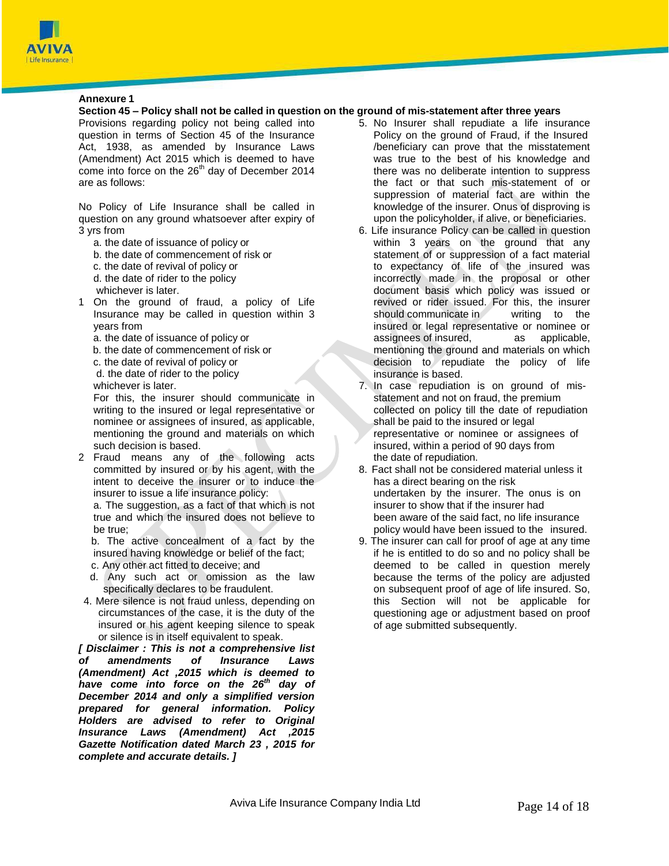

# **Annexure 1**

# Section 45 - Policy shall not be called in question on the ground of mis-statement after three years

Provisions regarding policy not being called into question in terms of Section 45 of the Insurance Act, 1938, as amended by Insurance Laws (Amendment) Act 2015 which is deemed to have come into force on the  $26<sup>th</sup>$  day of December 2014 are as follows:

No Policy of Life Insurance shall be called in question on any ground whatsoever after expiry of 3 yrs from

- a. the date of issuance of policy or
- b. the date of commencement of risk or
- c. the date of revival of policy or
- d. the date of rider to the policy
- whichever is later.
- 1 On the ground of fraud, a policy of Life Insurance may be called in question within 3 years from
	- a. the date of issuance of policy or
	- b. the date of commencement of risk or
	- c. the date of revival of policy or
	- d. the date of rider to the policy
	- whichever is later.

For this, the insurer should communicate in writing to the insured or legal representative or nominee or assignees of insured, as applicable, mentioning the ground and materials on which such decision is based.

2 Fraud means any of the following acts committed by insured or by his agent, with the intent to deceive the insurer or to induce the insurer to issue a life insurance policy:

a. The suggestion, as a fact of that which is not true and which the insured does not believe to be true;

b. The active concealment of a fact by the insured having knowledge or belief of the fact;

- c. Any other act fitted to deceive; and
- d. Any such act or omission as the law specifically declares to be fraudulent.
- 4. Mere silence is not fraud unless, depending on circumstances of the case, it is the duty of the insured or his agent keeping silence to speak or silence is in itself equivalent to speak.

*[ Disclaimer : This is not a comprehensive list of amendments of Insurance Laws (Amendment) Act ,2015 which is deemed to have come into force on the 26th day of December 2014 and only a simplified version prepared for general information. Policy Holders are advised to refer to Original Insurance Laws (Amendment) Act ,2015 Gazette Notification dated March 23 , 2015 for complete and accurate details. ]*

- 5. No Insurer shall repudiate a life insurance Policy on the ground of Fraud, if the Insured /beneficiary can prove that the misstatement was true to the best of his knowledge and there was no deliberate intention to suppress the fact or that such mis-statement of or suppression of material fact are within the knowledge of the insurer. Onus of disproving is upon the policyholder, if alive, or beneficiaries.
- 6. Life insurance Policy can be called in question within 3 years on the ground that any statement of or suppression of a fact material to expectancy of life of the insured was incorrectly made in the proposal or other document basis which policy was issued or revived or rider issued. For this, the insurer should communicate in writing to the insured or legal representative or nominee or assignees of insured, as applicable, mentioning the ground and materials on which decision to repudiate the policy of life insurance is based.
- 7. In case repudiation is on ground of misstatement and not on fraud, the premium collected on policy till the date of repudiation shall be paid to the insured or legal representative or nominee or assignees of insured, within a period of 90 days from the date of repudiation.
- 8. Fact shall not be considered material unless it has a direct bearing on the risk undertaken by the insurer. The onus is on insurer to show that if the insurer had been aware of the said fact, no life insurance policy would have been issued to the insured.
- 9. The insurer can call for proof of age at any time if he is entitled to do so and no policy shall be deemed to be called in question merely because the terms of the policy are adjusted on subsequent proof of age of life insured. So, this Section will not be applicable for questioning age or adjustment based on proof of age submitted subsequently.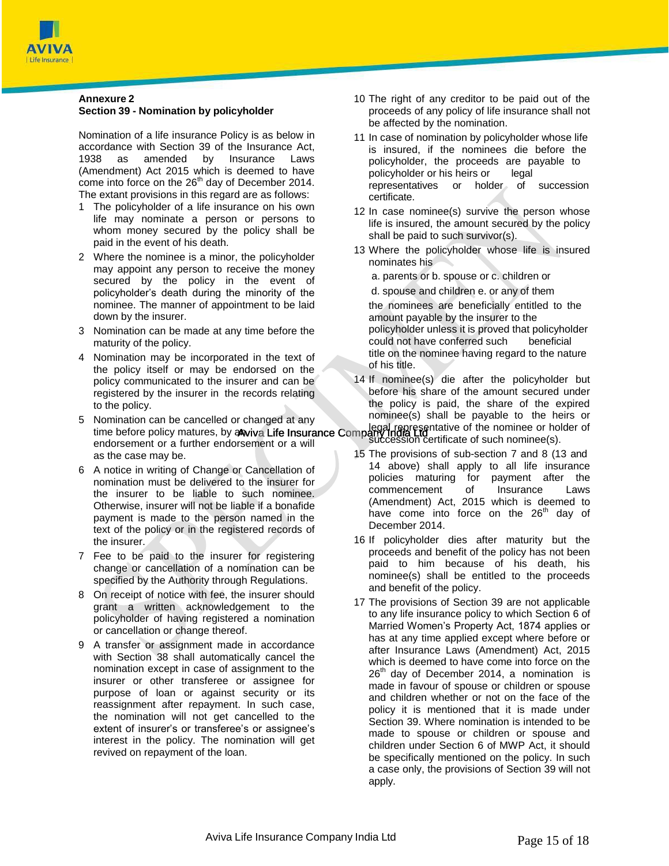

# **Annexure 2 Section 39 - Nomination by policyholder**

Nomination of a life insurance Policy is as below in accordance with Section 39 of the Insurance Act, 1938 as amended by Insurance Laws (Amendment) Act 2015 which is deemed to have come into force on the 26<sup>th</sup> day of December 2014. The extant provisions in this regard are as follows:

- 1 The policyholder of a life insurance on his own life may nominate a person or persons to whom money secured by the policy shall be paid in the event of his death.
- 2 Where the nominee is a minor, the policyholder may appoint any person to receive the money secured by the policy in the event of policyholder's death during the minority of the nominee. The manner of appointment to be laid down by the insurer.
- 3 Nomination can be made at any time before the maturity of the policy.
- 4 Nomination may be incorporated in the text of the policy itself or may be endorsed on the policy communicated to the insurer and can be registered by the insurer in the records relating to the policy.
- Legal representative of the nominee or holder of<br>time before policy matures, by a wive Life Insurance Company India Lice is such nominee (c) 5 Nomination can be cancelled or changed at any endorsement or a further endorsement or a will as the case may be.
- 6 A notice in writing of Change or Cancellation of nomination must be delivered to the insurer for the insurer to be liable to such nominee. Otherwise, insurer will not be liable if a bonafide payment is made to the person named in the text of the policy or in the registered records of the insurer.
- 7 Fee to be paid to the insurer for registering change or cancellation of a nomination can be specified by the Authority through Regulations.
- 8 On receipt of notice with fee, the insurer should grant a written acknowledgement to the policyholder of having registered a nomination or cancellation or change thereof.
- 9 A transfer or assignment made in accordance with Section 38 shall automatically cancel the nomination except in case of assignment to the insurer or other transferee or assignee for purpose of loan or against security or its reassignment after repayment. In such case, the nomination will not get cancelled to the extent of insurer's or transferee's or assignee's interest in the policy. The nomination will get revived on repayment of the loan.
- 10 The right of any creditor to be paid out of the proceeds of any policy of life insurance shall not be affected by the nomination.
- 11 In case of nomination by policyholder whose life is insured, if the nominees die before the policyholder, the proceeds are payable to policyholder or his heirs or legal representatives or holder of succession certificate.
- 12 In case nominee(s) survive the person whose life is insured, the amount secured by the policy shall be paid to such survivor(s).
- 13 Where the policyholder whose life is insured nominates his
	- a. parents or b. spouse or c. children or
	- d. spouse and children e. or any of them
	- the nominees are beneficially entitled to the amount payable by the insurer to the policyholder unless it is proved that policyholder could not have conferred such beneficial title on the nominee having regard to the nature of his title.
- 14 If nominee(s) die after the policyholder but before his share of the amount secured under the policy is paid, the share of the expired nominee(s) shall be payable to the heirs or succession certificate of such nominee(s).
- 15 The provisions of sub-section 7 and 8 (13 and 14 above) shall apply to all life insurance policies maturing for payment after the commencement of Insurance Laws (Amendment) Act, 2015 which is deemed to have come into force on the  $26<sup>th</sup>$  day of December 2014.
- 16 If policyholder dies after maturity but the proceeds and benefit of the policy has not been paid to him because of his death, his nominee(s) shall be entitled to the proceeds and benefit of the policy.
- 17 The provisions of Section 39 are not applicable to any life insurance policy to which Section 6 of Married Women's Property Act, 1874 applies or has at any time applied except where before or after Insurance Laws (Amendment) Act, 2015 which is deemed to have come into force on the  $26<sup>th</sup>$  day of December 2014, a nomination is made in favour of spouse or children or spouse and children whether or not on the face of the policy it is mentioned that it is made under Section 39. Where nomination is intended to be made to spouse or children or spouse and children under Section 6 of MWP Act, it should be specifically mentioned on the policy. In such a case only, the provisions of Section 39 will not apply.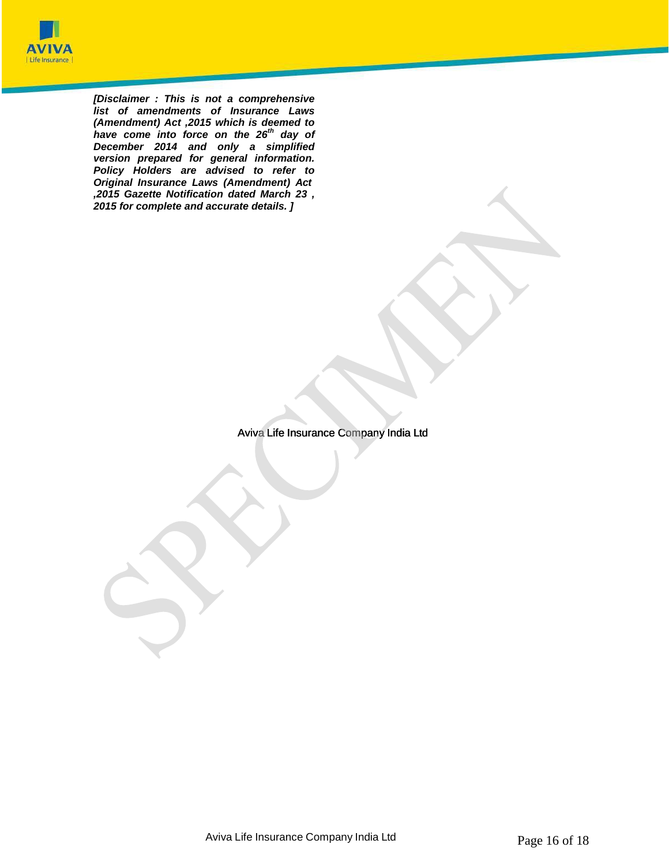

*[Disclaimer : This is not a comprehensive list of amendments of Insurance Laws (Amendment) Act ,2015 which is deemed to have come into force on the 26th day of December 2014 and only a simplified version prepared for general information. Policy Holders are advised to refer to Original Insurance Laws (Amendment) Act ,2015 Gazette Notification dated March 23 , 2015 for complete and accurate details. ]*

Aviva Life Insurance Company India Ltd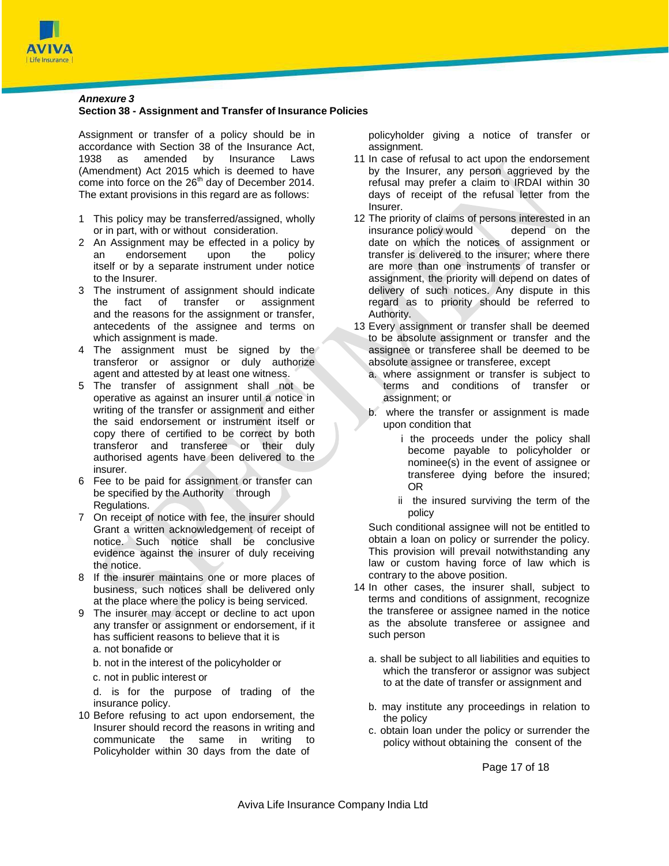

# *Annexure 3*

# **Section 38 - Assignment and Transfer of Insurance Policies**

Assignment or transfer of a policy should be in accordance with Section 38 of the Insurance Act, 1938 as amended by Insurance Laws (Amendment) Act 2015 which is deemed to have come into force on the  $26<sup>th</sup>$  day of December 2014. The extant provisions in this regard are as follows:

- 1 This policy may be transferred/assigned, wholly or in part, with or without consideration.
- 2 An Assignment may be effected in a policy by an endorsement upon the policy itself or by a separate instrument under notice to the Insurer.
- 3 The instrument of assignment should indicate the fact of transfer or assignment and the reasons for the assignment or transfer, antecedents of the assignee and terms on which assignment is made.
- 4 The assignment must be signed by the transferor or assignor or duly authorize agent and attested by at least one witness.
- 5 The transfer of assignment shall not be operative as against an insurer until a notice in writing of the transfer or assignment and either the said endorsement or instrument itself or copy there of certified to be correct by both transferor and transferee or their duly authorised agents have been delivered to the insurer.
- 6 Fee to be paid for assignment or transfer can be specified by the Authority through Regulations.
- 7 On receipt of notice with fee, the insurer should Grant a written acknowledgement of receipt of notice. Such notice shall be conclusive evidence against the insurer of duly receiving the notice.
- 8 If the insurer maintains one or more places of business, such notices shall be delivered only at the place where the policy is being serviced.
- 9 The insurer may accept or decline to act upon any transfer or assignment or endorsement, if it has sufficient reasons to believe that it is
	- a. not bonafide or
	- b. not in the interest of the policyholder or
	- c. not in public interest or

d. is for the purpose of trading of the insurance policy.

10 Before refusing to act upon endorsement, the Insurer should record the reasons in writing and communicate the same in writing to Policyholder within 30 days from the date of

policyholder giving a notice of transfer or assignment.

- 11 In case of refusal to act upon the endorsement by the Insurer, any person aggrieved by the refusal may prefer a claim to IRDAI within 30 days of receipt of the refusal letter from the Insurer.
- 12 The priority of claims of persons interested in an insurance policy would depend on the date on which the notices of assignment or transfer is delivered to the insurer; where there are more than one instruments of transfer or assignment, the priority will depend on dates of delivery of such notices. Any dispute in this regard as to priority should be referred to Authority.
- 13 Every assignment or transfer shall be deemed to be absolute assignment or transfer and the assignee or transferee shall be deemed to be absolute assignee or transferee, except
	- a. where assignment or transfer is subject to terms and conditions of transfer or assignment; or
	- b. where the transfer or assignment is made upon condition that
		- i the proceeds under the policy shall become payable to policyholder or nominee(s) in the event of assignee or transferee dying before the insured; OR
		- ii the insured surviving the term of the policy

Such conditional assignee will not be entitled to obtain a loan on policy or surrender the policy. This provision will prevail notwithstanding any law or custom having force of law which is contrary to the above position.

- 14 In other cases, the insurer shall, subject to terms and conditions of assignment, recognize the transferee or assignee named in the notice as the absolute transferee or assignee and such person
	- a. shall be subject to all liabilities and equities to which the transferor or assignor was subject to at the date of transfer or assignment and
	- b. may institute any proceedings in relation to the policy
	- c. obtain loan under the policy or surrender the policy without obtaining the consent of the

Page 17 of 18